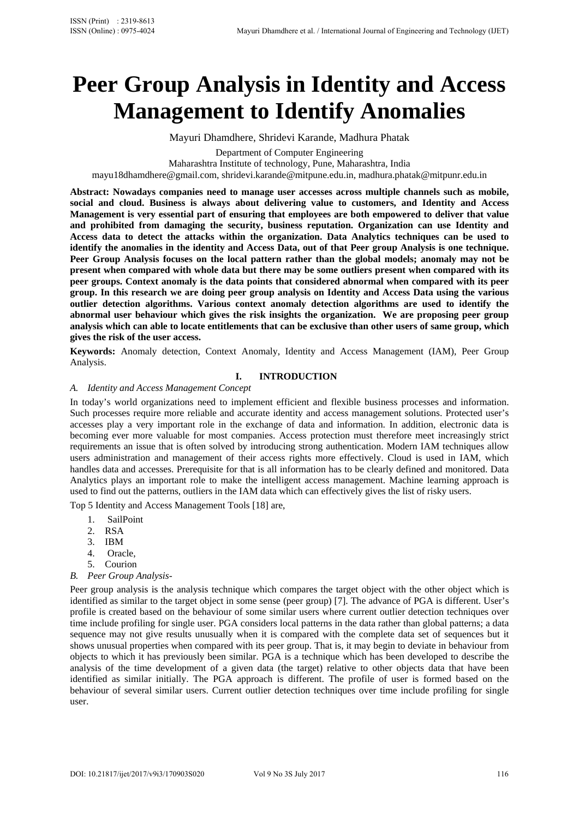# **Peer Group Analysis in Identity and Access Management to Identify Anomalies**

Mayuri Dhamdhere, Shridevi Karande, Madhura Phatak

Department of Computer Engineering

Maharashtra Institute of technology, Pune, Maharashtra, India

mayu18dhamdhere@gmail.com, shridevi.karande@mitpune.edu.in, madhura.phatak@mitpunr.edu.in

**Abstract: Nowadays companies need to manage user accesses across multiple channels such as mobile, social and cloud. Business is always about delivering value to customers, and Identity and Access Management is very essential part of ensuring that employees are both empowered to deliver that value and prohibited from damaging the security, business reputation. Organization can use Identity and Access data to detect the attacks within the organization. Data Analytics techniques can be used to identify the anomalies in the identity and Access Data, out of that Peer group Analysis is one technique. Peer Group Analysis focuses on the local pattern rather than the global models; anomaly may not be present when compared with whole data but there may be some outliers present when compared with its peer groups. Context anomaly is the data points that considered abnormal when compared with its peer group. In this research we are doing peer group analysis on Identity and Access Data using the various outlier detection algorithms. Various context anomaly detection algorithms are used to identify the abnormal user behaviour which gives the risk insights the organization. We are proposing peer group analysis which can able to locate entitlements that can be exclusive than other users of same group, which gives the risk of the user access.** 

**Keywords:** Anomaly detection, Context Anomaly, Identity and Access Management (IAM), Peer Group Analysis.

## **I. INTRODUCTION**

## *A. Identity and Access Management Concept*

In today's world organizations need to implement efficient and flexible business processes and information. Such processes require more reliable and accurate identity and access management solutions. Protected user's accesses play a very important role in the exchange of data and information. In addition, electronic data is becoming ever more valuable for most companies. Access protection must therefore meet increasingly strict requirements an issue that is often solved by introducing strong authentication. Modern IAM techniques allow users administration and management of their access rights more effectively. Cloud is used in IAM, which handles data and accesses. Prerequisite for that is all information has to be clearly defined and monitored. Data Analytics plays an important role to make the intelligent access management. Machine learning approach is used to find out the patterns, outliers in the IAM data which can effectively gives the list of risky users.

Top 5 Identity and Access Management Tools [18] are,

- 1. SailPoint
- 2. RSA
- 3. IBM
- 4. Oracle,
- 5. Courion
- *B. Peer Group Analysis-*

Peer group analysis is the analysis technique which compares the target object with the other object which is identified as similar to the target object in some sense (peer group) [7]. The advance of PGA is different. User's profile is created based on the behaviour of some similar users where current outlier detection techniques over time include profiling for single user. PGA considers local patterns in the data rather than global patterns; a data sequence may not give results unusually when it is compared with the complete data set of sequences but it shows unusual properties when compared with its peer group. That is, it may begin to deviate in behaviour from objects to which it has previously been similar. PGA is a technique which has been developed to describe the analysis of the time development of a given data (the target) relative to other objects data that have been identified as similar initially. The PGA approach is different. The profile of user is formed based on the behaviour of several similar users. Current outlier detection techniques over time include profiling for single user.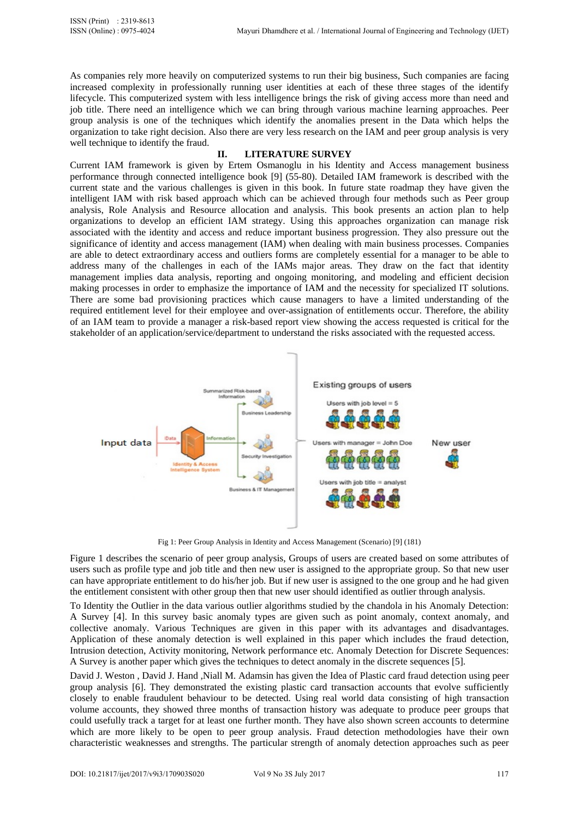As companies rely more heavily on computerized systems to run their big business, Such companies are facing increased complexity in professionally running user identities at each of these three stages of the identify lifecycle. This computerized system with less intelligence brings the risk of giving access more than need and job title. There need an intelligence which we can bring through various machine learning approaches. Peer group analysis is one of the techniques which identify the anomalies present in the Data which helps the organization to take right decision. Also there are very less research on the IAM and peer group analysis is very well technique to identify the fraud.

## **II. LITERATURE SURVEY**

Current IAM framework is given by Ertem Osmanoglu in his Identity and Access management business performance through connected intelligence book [9] (55-80). Detailed IAM framework is described with the current state and the various challenges is given in this book. In future state roadmap they have given the intelligent IAM with risk based approach which can be achieved through four methods such as Peer group analysis, Role Analysis and Resource allocation and analysis. This book presents an action plan to help organizations to develop an efficient IAM strategy. Using this approaches organization can manage risk associated with the identity and access and reduce important business progression. They also pressure out the significance of identity and access management (IAM) when dealing with main business processes. Companies are able to detect extraordinary access and outliers forms are completely essential for a manager to be able to address many of the challenges in each of the IAMs major areas. They draw on the fact that identity management implies data analysis, reporting and ongoing monitoring, and modeling and efficient decision making processes in order to emphasize the importance of IAM and the necessity for specialized IT solutions. There are some bad provisioning practices which cause managers to have a limited understanding of the required entitlement level for their employee and over-assignation of entitlements occur. Therefore, the ability of an IAM team to provide a manager a risk-based report view showing the access requested is critical for the stakeholder of an application/service/department to understand the risks associated with the requested access.



Fig 1: Peer Group Analysis in Identity and Access Management (Scenario) [9] (181)

Figure 1 describes the scenario of peer group analysis, Groups of users are created based on some attributes of users such as profile type and job title and then new user is assigned to the appropriate group. So that new user can have appropriate entitlement to do his/her job. But if new user is assigned to the one group and he had given the entitlement consistent with other group then that new user should identified as outlier through analysis.

To Identity the Outlier in the data various outlier algorithms studied by the chandola in his Anomaly Detection: A Survey [4]. In this survey basic anomaly types are given such as point anomaly, context anomaly, and collective anomaly. Various Techniques are given in this paper with its advantages and disadvantages. Application of these anomaly detection is well explained in this paper which includes the fraud detection, Intrusion detection, Activity monitoring, Network performance etc. Anomaly Detection for Discrete Sequences: A Survey is another paper which gives the techniques to detect anomaly in the discrete sequences [5].

David J. Weston , David J. Hand ,Niall M. Adamsin has given the Idea of Plastic card fraud detection using peer group analysis [6]. They demonstrated the existing plastic card transaction accounts that evolve sufficiently closely to enable fraudulent behaviour to be detected. Using real world data consisting of high transaction volume accounts, they showed three months of transaction history was adequate to produce peer groups that could usefully track a target for at least one further month. They have also shown screen accounts to determine which are more likely to be open to peer group analysis. Fraud detection methodologies have their own characteristic weaknesses and strengths. The particular strength of anomaly detection approaches such as peer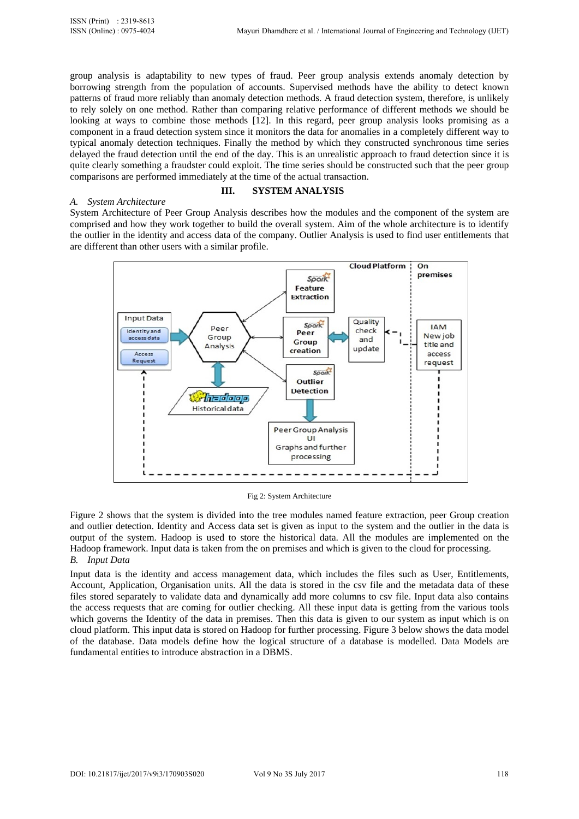group analysis is adaptability to new types of fraud. Peer group analysis extends anomaly detection by borrowing strength from the population of accounts. Supervised methods have the ability to detect known patterns of fraud more reliably than anomaly detection methods. A fraud detection system, therefore, is unlikely to rely solely on one method. Rather than comparing relative performance of different methods we should be looking at ways to combine those methods [12]. In this regard, peer group analysis looks promising as a component in a fraud detection system since it monitors the data for anomalies in a completely different way to typical anomaly detection techniques. Finally the method by which they constructed synchronous time series delayed the fraud detection until the end of the day. This is an unrealistic approach to fraud detection since it is quite clearly something a fraudster could exploit. The time series should be constructed such that the peer group comparisons are performed immediately at the time of the actual transaction.

## **III. SYSTEM ANALYSIS**

#### *A. System Architecture*

System Architecture of Peer Group Analysis describes how the modules and the component of the system are comprised and how they work together to build the overall system. Aim of the whole architecture is to identify the outlier in the identity and access data of the company. Outlier Analysis is used to find user entitlements that are different than other users with a similar profile.



Fig 2: System Architecture

Figure 2 shows that the system is divided into the tree modules named feature extraction, peer Group creation and outlier detection. Identity and Access data set is given as input to the system and the outlier in the data is output of the system. Hadoop is used to store the historical data. All the modules are implemented on the Hadoop framework. Input data is taken from the on premises and which is given to the cloud for processing. *B. Input Data* 

Input data is the identity and access management data, which includes the files such as User, Entitlements, Account, Application, Organisation units. All the data is stored in the csv file and the metadata data of these files stored separately to validate data and dynamically add more columns to csv file. Input data also contains the access requests that are coming for outlier checking. All these input data is getting from the various tools which governs the Identity of the data in premises. Then this data is given to our system as input which is on cloud platform. This input data is stored on Hadoop for further processing. Figure 3 below shows the data model of the database. Data models define how the logical structure of a database is modelled. Data Models are fundamental entities to introduce abstraction in a DBMS.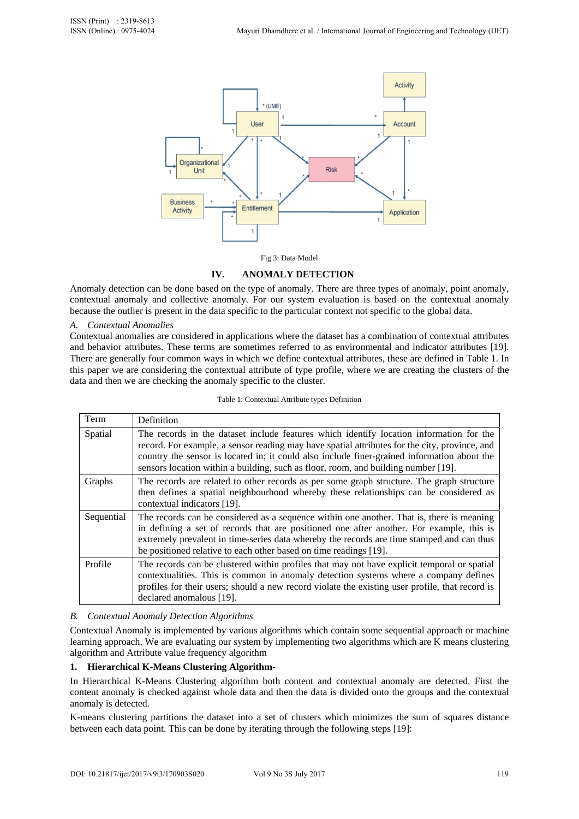

#### Fig 3: Data Model

## **IV. ANOMALY DETECTION**

Anomaly detection can be done based on the type of anomaly. There are three types of anomaly, point anomaly, contextual anomaly and collective anomaly. For our system evaluation is based on the contextual anomaly because the outlier is present in the data specific to the particular context not specific to the global data.

## *A. Contextual Anomalies*

Contextual anomalies are considered in applications where the dataset has a combination of contextual attributes and behavior attributes. These terms are sometimes referred to as environmental and indicator attributes [19]. There are generally four common ways in which we define contextual attributes, these are defined in Table 1. In this paper we are considering the contextual attribute of type profile, where we are creating the clusters of the data and then we are checking the anomaly specific to the cluster.

|  | Table 1: Contextual Attribute types Definition |
|--|------------------------------------------------|
|--|------------------------------------------------|

| Term       | Definition                                                                                                                                                                                                                                                                                                                                                                    |
|------------|-------------------------------------------------------------------------------------------------------------------------------------------------------------------------------------------------------------------------------------------------------------------------------------------------------------------------------------------------------------------------------|
| Spatial    | The records in the dataset include features which identify location information for the<br>record. For example, a sensor reading may have spatial attributes for the city, province, and<br>country the sensor is located in; it could also include finer-grained information about the<br>sensors location within a building, such as floor, room, and building number [19]. |
| Graphs     | The records are related to other records as per some graph structure. The graph structure<br>then defines a spatial neighbourhood whereby these relationships can be considered as<br>contextual indicators [19].                                                                                                                                                             |
| Sequential | The records can be considered as a sequence within one another. That is, there is meaning<br>in defining a set of records that are positioned one after another. For example, this is<br>extremely prevalent in time-series data whereby the records are time stamped and can thus<br>be positioned relative to each other based on time readings [19].                       |
| Profile    | The records can be clustered within profiles that may not have explicit temporal or spatial<br>contextualities. This is common in anomaly detection systems where a company defines<br>profiles for their users; should a new record violate the existing user profile, that record is<br>declared anomalous [19].                                                            |

#### *B. Contextual Anomaly Detection Algorithms*

Contextual Anomaly is implemented by various algorithms which contain some sequential approach or machine learning approach. We are evaluating our system by implementing two algorithms which are K means clustering algorithm and Attribute value frequency algorithm

## **1. Hierarchical K-Means Clustering Algorithm-**

In Hierarchical K-Means Clustering algorithm both content and contextual anomaly are detected. First the content anomaly is checked against whole data and then the data is divided onto the groups and the contextual anomaly is detected.

K-means clustering partitions the dataset into a set of clusters which minimizes the sum of squares distance between each data point. This can be done by iterating through the following steps [19]: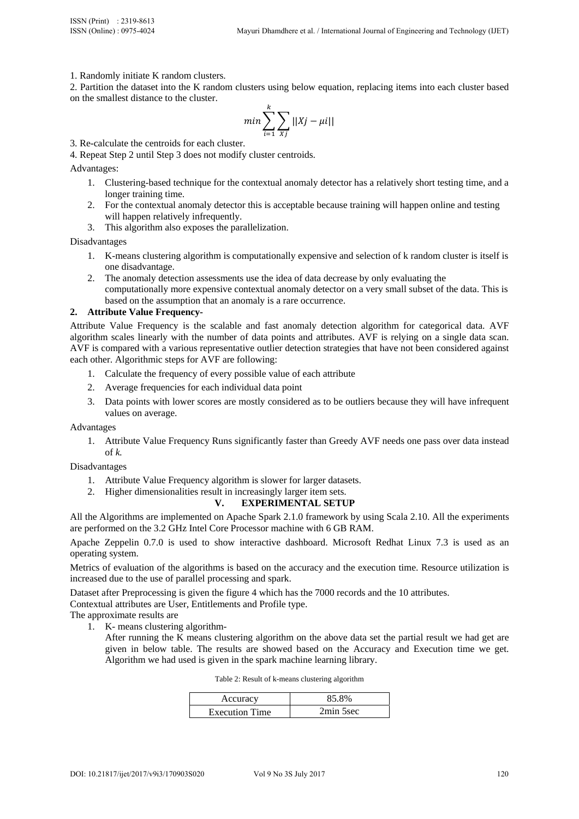1. Randomly initiate K random clusters.

2. Partition the dataset into the K random clusters using below equation, replacing items into each cluster based on the smallest distance to the cluster.

$$
min \sum_{i=1}^{k} \sum_{Xj} ||Xj - \mu i||
$$

3. Re-calculate the centroids for each cluster.

4. Repeat Step 2 until Step 3 does not modify cluster centroids.

Advantages:

- 1. Clustering-based technique for the contextual anomaly detector has a relatively short testing time, and a longer training time.
- 2. For the contextual anomaly detector this is acceptable because training will happen online and testing will happen relatively infrequently.
- 3. This algorithm also exposes the parallelization.

Disadvantages

- 1. K-means clustering algorithm is computationally expensive and selection of k random cluster is itself is one disadvantage.
- 2. The anomaly detection assessments use the idea of data decrease by only evaluating the computationally more expensive contextual anomaly detector on a very small subset of the data. This is based on the assumption that an anomaly is a rare occurrence.

#### **2. Attribute Value Frequency-**

Attribute Value Frequency is the scalable and fast anomaly detection algorithm for categorical data. AVF algorithm scales linearly with the number of data points and attributes. AVF is relying on a single data scan. AVF is compared with a various representative outlier detection strategies that have not been considered against each other. Algorithmic steps for AVF are following:

- 1. Calculate the frequency of every possible value of each attribute
- 2. Average frequencies for each individual data point
- 3. Data points with lower scores are mostly considered as to be outliers because they will have infrequent values on average.

Advantages

1. Attribute Value Frequency Runs significantly faster than Greedy AVF needs one pass over data instead of *k.*

Disadvantages

- 1. Attribute Value Frequency algorithm is slower for larger datasets.
- 2. Higher dimensionalities result in increasingly larger item sets.

## **V. EXPERIMENTAL SETUP**

All the Algorithms are implemented on Apache Spark 2.1.0 framework by using Scala 2.10. All the experiments are performed on the 3.2 GHz Intel Core Processor machine with 6 GB RAM.

Apache Zeppelin 0.7.0 is used to show interactive dashboard. Microsoft Redhat Linux 7.3 is used as an operating system.

Metrics of evaluation of the algorithms is based on the accuracy and the execution time. Resource utilization is increased due to the use of parallel processing and spark.

Dataset after Preprocessing is given the figure 4 which has the 7000 records and the 10 attributes.

Contextual attributes are User, Entitlements and Profile type.

The approximate results are

- 1. K- means clustering algorithm-
	- After running the K means clustering algorithm on the above data set the partial result we had get are given in below table. The results are showed based on the Accuracy and Execution time we get. Algorithm we had used is given in the spark machine learning library.

| Table 2: Result of k-means clustering algorithm |  |
|-------------------------------------------------|--|
|-------------------------------------------------|--|

| Accuracy              | 85.8%     |
|-----------------------|-----------|
| <b>Execution Time</b> | 2min 5sec |